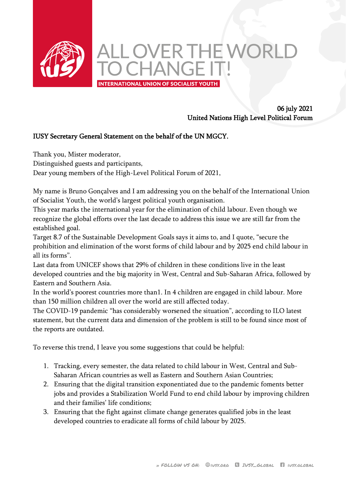

## 06 july 2021 United Nations High Level Political Forum

## IUSY Secretary General Statement on the behalf of the UN MGCY.

Thank you, Mister moderator,

Distinguished guests and participants,

Dear young members of the High-Level Political Forum of 2021,

My name is Bruno Gonçalves and I am addressing you on the behalf of the International Union of Socialist Youth, the world's largest political youth organisation.

This year marks the international year for the elimination of child labour. Even though we recognize the global efforts over the last decade to address this issue we are still far from the established goal.

Target 8.7 of the Sustainable Development Goals says it aims to, and I quote, "secure the prohibition and elimination of the worst forms of child labour and by 2025 end child labour in all its forms".

Last data from UNICEF shows that 29% of children in these conditions live in the least developed countries and the big majority in West, Central and Sub-Saharan Africa, followed by Eastern and Southern Asia.

In the world's poorest countries more than1. In 4 children are engaged in child labour. More than 150 million children all over the world are still affected today.

The COVID-19 pandemic "has considerably worsened the situation", according to ILO latest statement, but the current data and dimension of the problem is still to be found since most of the reports are outdated.

To reverse this trend, I leave you some suggestions that could be helpful:

- 1. Tracking, every semester, the data related to child labour in West, Central and Sub-Saharan African countries as well as Eastern and Southern Asian Countries;
- 2. Ensuring that the digital transition exponentiated due to the pandemic foments better jobs and provides a Stabilization World Fund to end child labour by improving children and their families' life conditions;
- 3. Ensuring that the fight against climate change generates qualified jobs in the least developed countries to eradicate all forms of child labour by 2025.